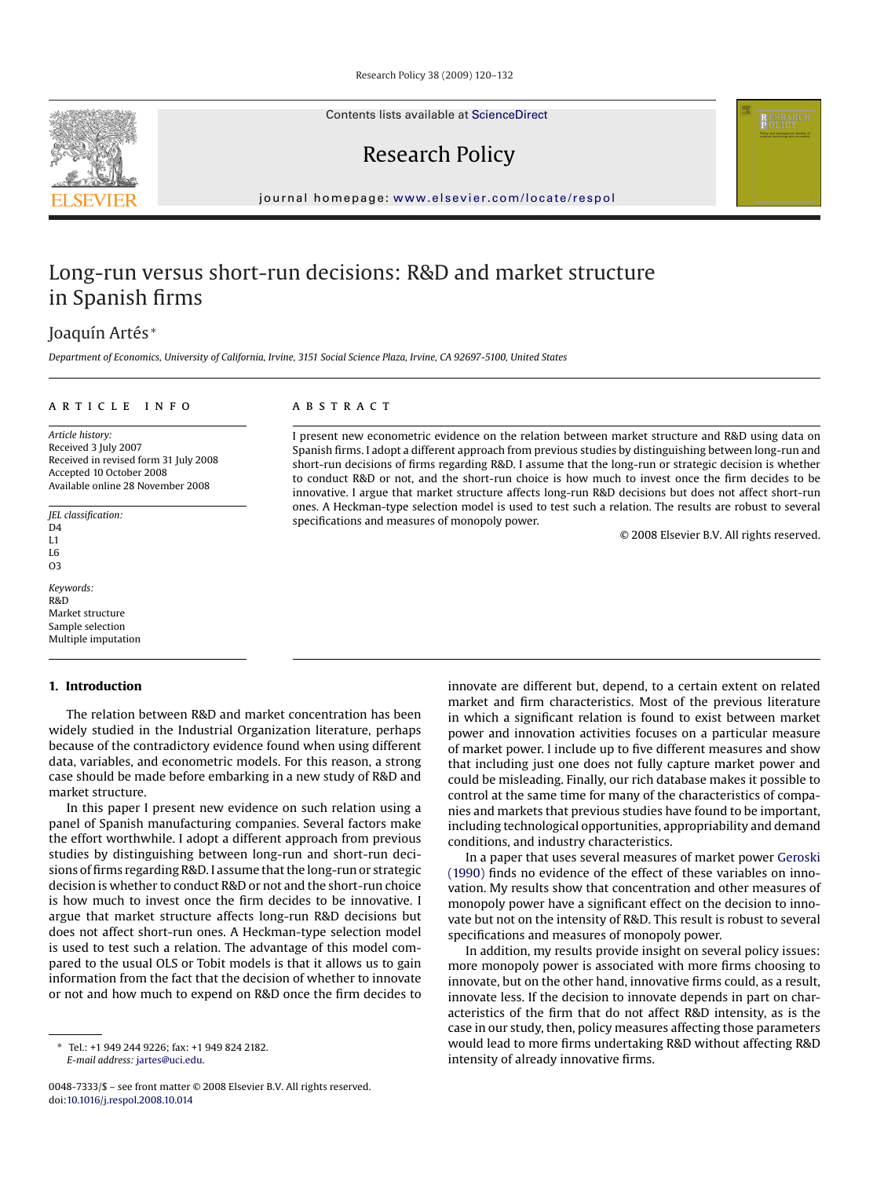Contents lists available at [ScienceDirect](http://www.sciencedirect.com/science/journal/00487333)

Research Policy

journal homepage: [www.elsevier.com/locate/respol](http://www.elsevier.com/locate/respol)

## Long-run versus short-run decisions: R&D and market structure in Spanish firms

### Joaquín Artés <sup>∗</sup>

*Department of Economics, University of California, Irvine, 3151 Social Science Plaza, Irvine, CA 92697-5100, United States*

#### article info

*Article history:* Received 3 July 2007 Received in revised form 31 July 2008 Accepted 10 October 2008 Available online 28 November 2008

*JEL classification:*  $D4$  $I<sub>1</sub>$ L6 O3

*Keywords:* R&D Market structure Sample selection Multiple imputation

#### **1. Introduction**

The relation between R&D and market concentration has been widely studied in the Industrial Organization literature, perhaps because of the contradictory evidence found when using different data, variables, and econometric models. For this reason, a strong case should be made before embarking in a new study of R&D and market structure.

In this paper I present new evidence on such relation using a panel of Spanish manufacturing companies. Several factors make the effort worthwhile. I adopt a different approach from previous studies by distinguishing between long-run and short-run decisions of firms regarding R&D. I assume that the long-run or strategic decision is whether to conduct R&D or not and the short-run choice is how much to invest once the firm decides to be innovative. I argue that market structure affects long-run R&D decisions but does not affect short-run ones. A Heckman-type selection model is used to test such a relation. The advantage of this model compared to the usual OLS or Tobit models is that it allows us to gain information from the fact that the decision of whether to innovate or not and how much to expend on R&D once the firm decides to

#### **ABSTRACT**

I present new econometric evidence on the relation between market structure and R&D using data on Spanish firms. I adopt a different approach from previous studies by distinguishing between long-run and short-run decisions of firms regarding R&D. I assume that the long-run or strategic decision is whether to conduct R&D or not, and the short-run choice is how much to invest once the firm decides to be innovative. I argue that market structure affects long-run R&D decisions but does not affect short-run ones. A Heckman-type selection model is used to test such a relation. The results are robust to several specifications and measures of monopoly power.

© 2008 Elsevier B.V. All rights reserved.

innovate are different but, depend, to a certain extent on related market and firm characteristics. Most of the previous literature in which a significant relation is found to exist between market power and innovation activities focuses on a particular measure of market power. I include up to five different measures and show that including just one does not fully capture market power and could be misleading. Finally, our rich database makes it possible to control at the same time for many of the characteristics of companies and markets that previous studies have found to be important, including technological opportunities, appropriability and demand conditions, and industry characteristics.

In a paper that uses several measures of market power [Geroski](#page--1-0) [\(1990\)](#page--1-0) finds no evidence of the effect of these variables on innovation. My results show that concentration and other measures of monopoly power have a significant effect on the decision to innovate but not on the intensity of R&D. This result is robust to several specifications and measures of monopoly power.

In addition, my results provide insight on several policy issues: more monopoly power is associated with more firms choosing to innovate, but on the other hand, innovative firms could, as a result, innovate less. If the decision to innovate depends in part on characteristics of the firm that do not affect R&D intensity, as is the case in our study, then, policy measures affecting those parameters would lead to more firms undertaking R&D without affecting R&D intensity of already innovative firms.



<sup>∗</sup> Tel.: +1 949 244 9226; fax: +1 949 824 2182. *E-mail address:* [jartes@uci.edu](mailto:jartes@uci.edu).

<sup>0048-7333/\$ –</sup> see front matter © 2008 Elsevier B.V. All rights reserved. doi:[10.1016/j.respol.2008.10.014](dx.doi.org/10.1016/j.respol.2008.10.014)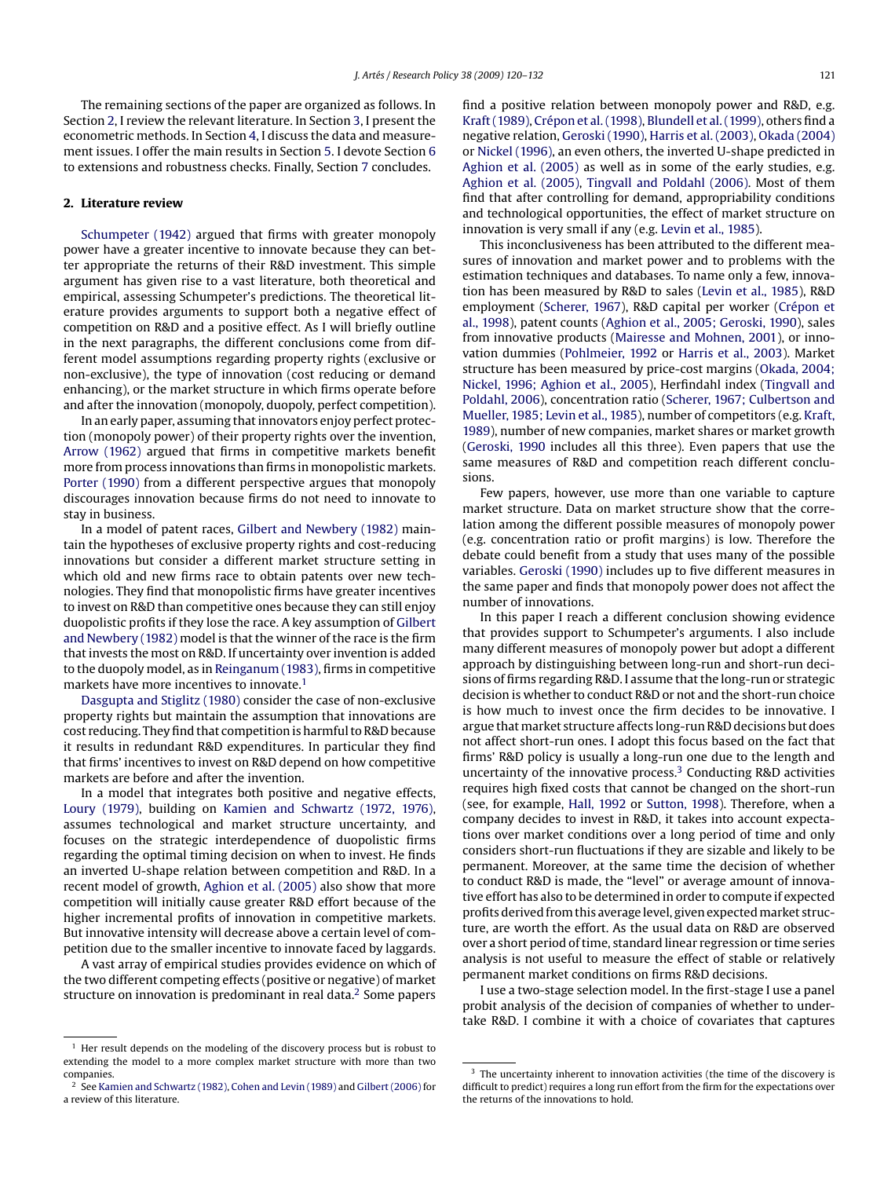The remaining sections of the paper are organized as follows. In Section 2, I review the relevant literature. In Section [3, I](#page--1-0) present the econometric methods. In Section [4, I](#page--1-0) discuss the data and measurement issues. I offer the main results in Section [5. I](#page--1-0) devote Section [6](#page--1-0) to extensions and robustness checks. Finally, Section [7](#page--1-0) concludes.

#### **2. Literature review**

[Schumpeter \(1942\)](#page--1-0) argued that firms with greater monopoly power have a greater incentive to innovate because they can better appropriate the returns of their R&D investment. This simple argument has given rise to a vast literature, both theoretical and empirical, assessing Schumpeter's predictions. The theoretical literature provides arguments to support both a negative effect of competition on R&D and a positive effect. As I will briefly outline in the next paragraphs, the different conclusions come from different model assumptions regarding property rights (exclusive or non-exclusive), the type of innovation (cost reducing or demand enhancing), or the market structure in which firms operate before and after the innovation (monopoly, duopoly, perfect competition).

In an early paper, assuming that innovators enjoy perfect protection (monopoly power) of their property rights over the invention, [Arrow \(1962\)](#page--1-0) argued that firms in competitive markets benefit more from process innovations than firms in monopolistic markets. [Porter \(1990\)](#page--1-0) from a different perspective argues that monopoly discourages innovation because firms do not need to innovate to stay in business.

In a model of patent races, [Gilbert and Newbery \(1982\)](#page--1-0) maintain the hypotheses of exclusive property rights and cost-reducing innovations but consider a different market structure setting in which old and new firms race to obtain patents over new technologies. They find that monopolistic firms have greater incentives to invest on R&D than competitive ones because they can still enjoy duopolistic profits if they lose the race. A key assumption of [Gilbert](#page--1-0) [and Newbery \(1982\)](#page--1-0) model is that the winner of the race is the firm that invests the most on R&D. If uncertainty over invention is added to the duopoly model, as in [Reinganum \(1983\), fi](#page--1-0)rms in competitive markets have more incentives to innovate.<sup>1</sup>

[Dasgupta and Stiglitz \(1980\)](#page--1-0) consider the case of non-exclusive property rights but maintain the assumption that innovations are cost reducing. They find that competition is harmful to R&D because it results in redundant R&D expenditures. In particular they find that firms' incentives to invest on R&D depend on how competitive markets are before and after the invention.

In a model that integrates both positive and negative effects, [Loury \(1979\),](#page--1-0) building on [Kamien and Schwartz \(1972, 1976\),](#page--1-0) assumes technological and market structure uncertainty, and focuses on the strategic interdependence of duopolistic firms regarding the optimal timing decision on when to invest. He finds an inverted U-shape relation between competition and R&D. In a recent model of growth, [Aghion et al. \(2005\)](#page--1-0) also show that more competition will initially cause greater R&D effort because of the higher incremental profits of innovation in competitive markets. But innovative intensity will decrease above a certain level of competition due to the smaller incentive to innovate faced by laggards.

A vast array of empirical studies provides evidence on which of the two different competing effects (positive or negative) of market structure on innovation is predominant in real data.<sup>2</sup> Some papers

find a positive relation between monopoly power and R&D, e.g. [Kraft \(1989\),](#page--1-0) [Crépon et al. \(1998\),](#page--1-0) [Blundell et al. \(1999\), o](#page--1-0)thers find a negative relation, [Geroski \(1990\),](#page--1-0) [Harris et al. \(2003\),](#page--1-0) [Okada \(2004\)](#page--1-0) or [Nickel \(1996\), a](#page--1-0)n even others, the inverted U-shape predicted in [Aghion et al. \(2005\)](#page--1-0) as well as in some of the early studies, e.g. [Aghion et al. \(2005\),](#page--1-0) [Tingvall and Poldahl \(2006\).](#page--1-0) Most of them find that after controlling for demand, appropriability conditions and technological opportunities, the effect of market structure on innovation is very small if any (e.g. [Levin et al., 1985\).](#page--1-0)

This inconclusiveness has been attributed to the different measures of innovation and market power and to problems with the estimation techniques and databases. To name only a few, innovation has been measured by R&D to sales [\(Levin et al., 1985\),](#page--1-0) R&D employment ([Scherer, 1967\),](#page--1-0) R&D capital per worker ([Crépon et](#page--1-0) [al., 1998\),](#page--1-0) patent counts [\(Aghion et al., 2005; Geroski, 1990\),](#page--1-0) sales from innovative products ([Mairesse and Mohnen, 2001\),](#page--1-0) or innovation dummies ([Pohlmeier, 1992](#page--1-0) or [Harris et al., 2003\).](#page--1-0) Market structure has been measured by price-cost margins [\(Okada, 2004;](#page--1-0) [Nickel, 1996; Aghion et al., 2005\),](#page--1-0) Herfindahl index ([Tingvall and](#page--1-0) [Poldahl, 2006\),](#page--1-0) concentration ratio [\(Scherer, 1967; Culbertson and](#page--1-0) [Mueller, 1985; Levin et al., 1985\),](#page--1-0) number of competitors (e.g. [Kraft,](#page--1-0) [1989\),](#page--1-0) number of new companies, market shares or market growth ([Geroski, 1990](#page--1-0) includes all this three). Even papers that use the same measures of R&D and competition reach different conclusions.

Few papers, however, use more than one variable to capture market structure. Data on market structure show that the correlation among the different possible measures of monopoly power (e.g. concentration ratio or profit margins) is low. Therefore the debate could benefit from a study that uses many of the possible variables. [Geroski \(1990\)](#page--1-0) includes up to five different measures in the same paper and finds that monopoly power does not affect the number of innovations.

In this paper I reach a different conclusion showing evidence that provides support to Schumpeter's arguments. I also include many different measures of monopoly power but adopt a different approach by distinguishing between long-run and short-run decisions of firms regarding R&D. I assume that the long-run or strategic decision is whether to conduct R&D or not and the short-run choice is how much to invest once the firm decides to be innovative. I argue that market structure affects long-run R&D decisions but does not affect short-run ones. I adopt this focus based on the fact that firms' R&D policy is usually a long-run one due to the length and uncertainty of the innovative process.3 Conducting R&D activities requires high fixed costs that cannot be changed on the short-run (see, for example, [Hall, 1992](#page--1-0) or [Sutton, 1998\).](#page--1-0) Therefore, when a company decides to invest in R&D, it takes into account expectations over market conditions over a long period of time and only considers short-run fluctuations if they are sizable and likely to be permanent. Moreover, at the same time the decision of whether to conduct R&D is made, the "level" or average amount of innovative effort has also to be determined in order to compute if expected profits derived from this average level, given expected market structure, are worth the effort. As the usual data on R&D are observed over a short period of time, standard linear regression or time series analysis is not useful to measure the effect of stable or relatively permanent market conditions on firms R&D decisions.

I use a two-stage selection model. In the first-stage I use a panel probit analysis of the decision of companies of whether to undertake R&D. I combine it with a choice of covariates that captures

<sup>&</sup>lt;sup>1</sup> Her result depends on the modeling of the discovery process but is robust to extending the model to a more complex market structure with more than two companies.

<sup>&</sup>lt;sup>2</sup> See [Kamien and Schwartz \(1982\),](#page--1-0) [Cohen and Levin \(1989\)](#page--1-0) and [Gilbert \(2006\)](#page--1-0) for a review of this literature.

<sup>&</sup>lt;sup>3</sup> The uncertainty inherent to innovation activities (the time of the discovery is difficult to predict) requires a long run effort from the firm for the expectations over the returns of the innovations to hold.